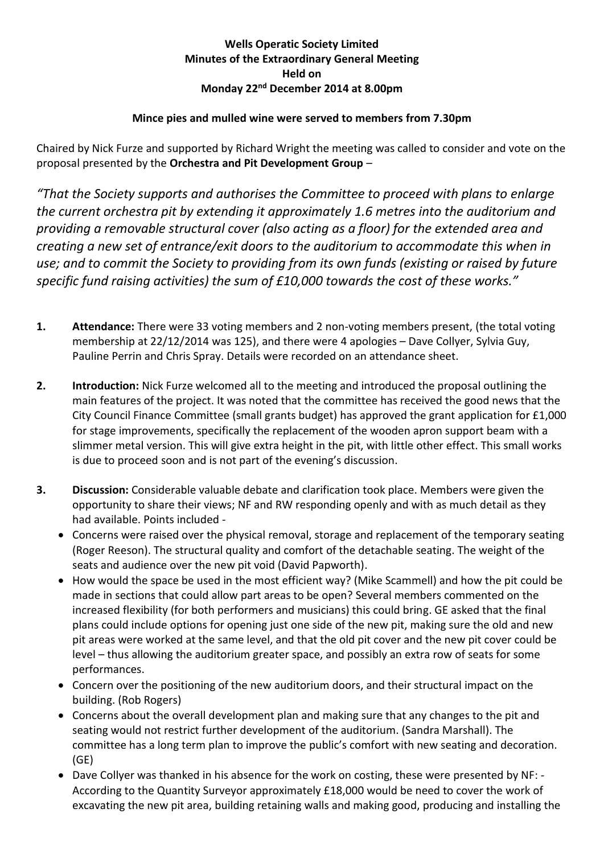## **Wells Operatic Society Limited Minutes of the Extraordinary General Meeting Held on Monday 22nd December 2014 at 8.00pm**

## **Mince pies and mulled wine were served to members from 7.30pm**

Chaired by Nick Furze and supported by Richard Wright the meeting was called to consider and vote on the proposal presented by the **Orchestra and Pit Development Group** –

*"That the Society supports and authorises the Committee to proceed with plans to enlarge the current orchestra pit by extending it approximately 1.6 metres into the auditorium and providing a removable structural cover (also acting as a floor) for the extended area and creating a new set of entrance/exit doors to the auditorium to accommodate this when in use; and to commit the Society to providing from its own funds (existing or raised by future specific fund raising activities) the sum of £10,000 towards the cost of these works."*

- **1. Attendance:** There were 33 voting members and 2 non-voting members present, (the total voting membership at 22/12/2014 was 125), and there were 4 apologies – Dave Collyer, Sylvia Guy, Pauline Perrin and Chris Spray. Details were recorded on an attendance sheet.
- **2. Introduction:** Nick Furze welcomed all to the meeting and introduced the proposal outlining the main features of the project. It was noted that the committee has received the good news that the City Council Finance Committee (small grants budget) has approved the grant application for £1,000 for stage improvements, specifically the replacement of the wooden apron support beam with a slimmer metal version. This will give extra height in the pit, with little other effect. This small works is due to proceed soon and is not part of the evening's discussion.
- **3. Discussion:** Considerable valuable debate and clarification took place. Members were given the opportunity to share their views; NF and RW responding openly and with as much detail as they had available. Points included -
	- Concerns were raised over the physical removal, storage and replacement of the temporary seating (Roger Reeson). The structural quality and comfort of the detachable seating. The weight of the seats and audience over the new pit void (David Papworth).
	- How would the space be used in the most efficient way? (Mike Scammell) and how the pit could be made in sections that could allow part areas to be open? Several members commented on the increased flexibility (for both performers and musicians) this could bring. GE asked that the final plans could include options for opening just one side of the new pit, making sure the old and new pit areas were worked at the same level, and that the old pit cover and the new pit cover could be level – thus allowing the auditorium greater space, and possibly an extra row of seats for some performances.
	- Concern over the positioning of the new auditorium doors, and their structural impact on the building. (Rob Rogers)
	- Concerns about the overall development plan and making sure that any changes to the pit and seating would not restrict further development of the auditorium. (Sandra Marshall). The committee has a long term plan to improve the public's comfort with new seating and decoration. (GE)
	- Dave Collyer was thanked in his absence for the work on costing, these were presented by NF: According to the Quantity Surveyor approximately £18,000 would be need to cover the work of excavating the new pit area, building retaining walls and making good, producing and installing the